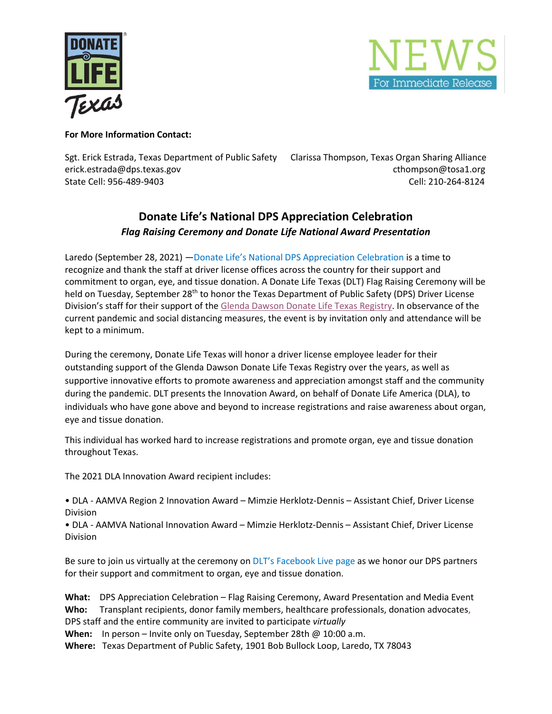



## **For More Information Contact:**

Sgt. Erick Estrada, Texas Department of Public Safety Clarissa Thompson, Texas Organ Sharing Alliance erick.estrada@dps.texas.gov entitled and controlled and controlled and controlled and controlled and controlled and controlled and controlled and controlled and controlled and controlled and controlled and controlled and c State Cell: 956-489-9403 Cell: 210-264-8124

## **Donate Life's National DPS Appreciation Celebration** *Flag Raising Ceremony and Donate Life National Award Presentation*

Laredo (September 28, 2021) —Donate Life's [National DPS Appreciation Celebration](https://www.donatelife.net/dmv/) is a time to recognize and thank the staff at driver license offices across the country for their support and commitment to organ, eye, and tissue donation. A Donate Life Texas (DLT) Flag Raising Ceremony will be held on Tuesday, September 28<sup>th</sup> to honor the Texas Department of Public Safety (DPS) Driver License Division's staff for their support of the [Glenda Dawson Donate Life Texas Registry.](https://www.donatelifetexas.org/donate-life-texas/) In observance of the current pandemic and social distancing measures, the event is by invitation only and attendance will be kept to a minimum.

During the ceremony, Donate Life Texas will honor a driver license employee leader for their outstanding support of the Glenda Dawson Donate Life Texas Registry over the years, as well as supportive innovative efforts to promote awareness and appreciation amongst staff and the community during the pandemic. DLT presents the Innovation Award, on behalf of Donate Life America (DLA), to individuals who have gone above and beyond to increase registrations and raise awareness about organ, eye and tissue donation.

This individual has worked hard to increase registrations and promote organ, eye and tissue donation throughout Texas.

The 2021 DLA Innovation Award recipient includes:

• DLA - AAMVA Region 2 Innovation Award – Mimzie Herklotz-Dennis – Assistant Chief, Driver License Division

• DLA - AAMVA National Innovation Award – Mimzie Herklotz-Dennis – Assistant Chief, Driver License Division

Be sure to join us virtually at the ceremony on DLT's [Facebook](https://www.facebook.com/donatelifetexas.org) Live page as we honor our DPS partners for their support and commitment to organ, eye and tissue donation.

**What:** DPS Appreciation Celebration – Flag Raising Ceremony, Award Presentation and Media Event **Who:** Transplant recipients, donor family members, healthcare professionals, donation advocates, DPS staff and the entire community are invited to participate *virtually*

When: In person – Invite only on Tuesday, September 28th @ 10:00 a.m.

**Where:** Texas Department of Public Safety, 1901 Bob Bullock Loop, Laredo, TX 78043